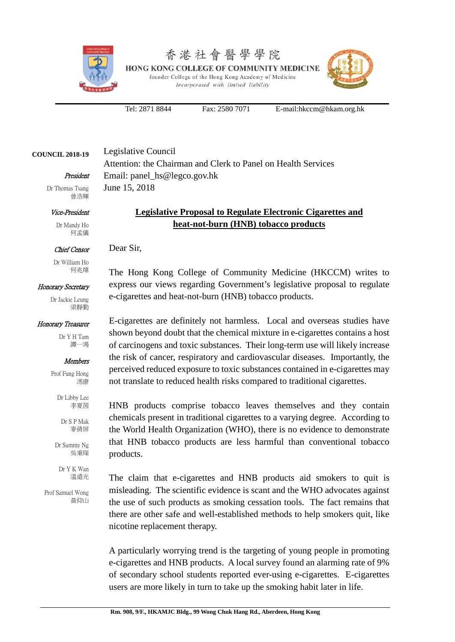

香港社會醫學學院 HONG KONG COLLEGE OF COMMUNITY MEDICINE founder College of the Hong Kong Academy of Medicine Incorporated with limited liability



Email: panel\_hs@legco.gov.hk

Attention: the Chairman and Clerk to Panel on Health Services

Tel: 2871 8844 Fax: 2580 7071 E-mail:hkccm@hkam.org.hk

**COUNCIL 2018-19** Legislative Council

June 15, 2018

# President

Dr Thomas Tsang 曾浩輝

# Vice-President

Dr Mandy Ho 何孟儀

# Chief Censor

Dr William Ho 何兆煒

# Honorary Secretary

Dr Jackie Leung 梁靜勤

# Honorary Treasurer

Dr Y H Tam 譚一鴻

# Members

Prof Fung Hong 馮康

> Dr Libby Lee 李夏茵

Dr S P Mak 麥倩屏

Dr Sammy Ng 吳秉琛

> Dr Y K Wan 溫遠光

Prof Samuel Wong 黃仰山

# **Legislative Proposal to Regulate Electronic Cigarettes and heat-not-burn (HNB) tobacco products**

# Dear Sir,

The Hong Kong College of Community Medicine (HKCCM) writes to express our views regarding Government's legislative proposal to regulate e-cigarettes and heat-not-burn (HNB) tobacco products.

E-cigarettes are definitely not harmless. Local and overseas studies have shown beyond doubt that the chemical mixture in e-cigarettes contains a host of carcinogens and toxic substances. Their long-term use will likely increase the risk of cancer, respiratory and cardiovascular diseases. Importantly, the perceived reduced exposure to toxic substances contained in e-cigarettes may not translate to reduced health risks compared to traditional cigarettes.

HNB products comprise tobacco leaves themselves and they contain chemicals present in traditional cigarettes to a varying degree. According to the World Health Organization (WHO), there is no evidence to demonstrate that HNB tobacco products are less harmful than conventional tobacco products.

The claim that e-cigarettes and HNB products aid smokers to quit is misleading. The scientific evidence is scant and the WHO advocates against the use of such products as smoking cessation tools. The fact remains that there are other safe and well-established methods to help smokers quit, like nicotine replacement therapy.

A particularly worrying trend is the targeting of young people in promoting e-cigarettes and HNB products. A local survey found an alarming rate of 9% of secondary school students reported ever-using e-cigarettes. E-cigarettes users are more likely in turn to take up the smoking habit later in life.